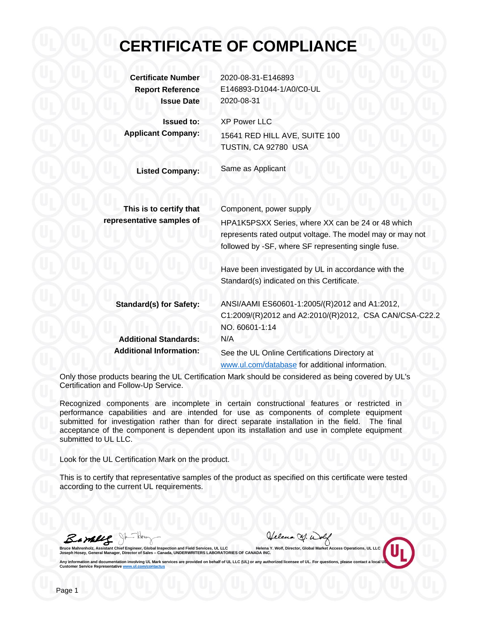# **CERTIFICATE OF COMPLIANCE**

**Certificate Number** 2020-08-31-E146893 **Report Reference** E146893-D1044-1/A0/C0-UL **Issue Date** 2020-08-31

**Issued to: Applicant Company:**

XP Power LLC 15641 RED HILL AVE, SUITE 100 TUSTIN, CA 92780 USA

Component, power supply

**Listed Company:** Same as Applicant

**This is to certify that representative samples of**

HPA1K5PSXX Series, where XX can be 24 or 48 which represents rated output voltage. The model may or may not followed by -SF, where SF representing single fuse.

Have been investigated by UL in accordance with the Standard(s) indicated on this Certificate.

**Standard(s) for Safety:** ANSI/AAMI ES60601-1:2005/(R)2012 and A1:2012,

C1:2009/(R)2012 and A2:2010/(R)2012, CSA CAN/CSA-C22.2 NO. 60601-1:14 **Additional Standards:** N/A

**Additional Information:** See the UL Online Certifications Directory at [www.ul.com/database](http://www.ul.com/database) for additional information.

Only those products bearing the UL Certification Mark should be considered as being covered by UL's Certification and Follow-Up Service.

Recognized components are incomplete in certain constructional features or restricted in performance capabilities and are intended for use as components of complete equipment submitted for investigation rather than for direct separate installation in the field. The final acceptance of the component is dependent upon its installation and use in complete equipment submitted to UL LLC.

Look for the UL Certification Mark on the product.

This is to certify that representative samples of the product as specified on this certificate were tested according to the current UL requirements.

<u>Eamll g</u>

Allena &. Woly

.<br>ant Chief Enginee Bruce Mahrenholz, Assistant Chief Engineer, Global Inspection and Field Services, UL LLC Helena Y. Wolf, Director, Global Market Access Operations, UL LLC<br>Joseph Hosey, General Manager, Director of Sales – Canada, U

**Any information and documentation involving UL Mark services are provided on behalf of UL LLC (UL) or any authorized licensee of UL. I Customer Service Representative www.ul.com**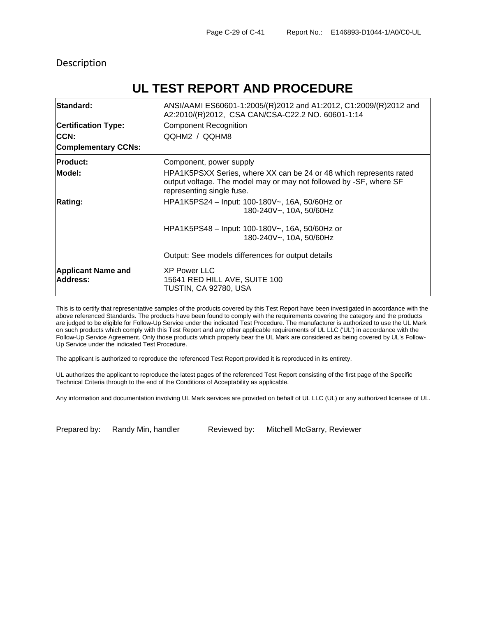Description

# **UL TEST REPORT AND PROCEDURE**

| <b>Standard:</b>                      | ANSI/AAMI ES60601-1:2005/(R)2012 and A1:2012, C1:2009/(R)2012 and<br>A2:2010/(R)2012, CSA CAN/CSA-C22.2 NO. 60601-1:14                                                |
|---------------------------------------|-----------------------------------------------------------------------------------------------------------------------------------------------------------------------|
| <b>Certification Type:</b>            | <b>Component Recognition</b>                                                                                                                                          |
| <b>CCN:</b>                           | QQHM2 / QQHM8                                                                                                                                                         |
| <b>Complementary CCNs:</b>            |                                                                                                                                                                       |
| <b>Product:</b>                       | Component, power supply                                                                                                                                               |
| Model:                                | HPA1K5PSXX Series, where XX can be 24 or 48 which represents rated<br>output voltage. The model may or may not followed by -SF, where SF<br>representing single fuse. |
| <b>Rating:</b>                        | HPA1K5PS24 - Input: 100-180V~, 16A, 50/60Hz or<br>180-240V~, 10A, 50/60Hz                                                                                             |
|                                       | HPA1K5PS48 – Input: 100-180V~, 16A, 50/60Hz or<br>180-240V~, 10A, 50/60Hz                                                                                             |
|                                       | Output: See models differences for output details                                                                                                                     |
| <b>Applicant Name and</b><br>Address: | <b>XP Power LLC</b><br>15641 RED HILL AVE, SUITE 100<br>TUSTIN, CA 92780, USA                                                                                         |

This is to certify that representative samples of the products covered by this Test Report have been investigated in accordance with the above referenced Standards. The products have been found to comply with the requirements covering the category and the products are judged to be eligible for Follow-Up Service under the indicated Test Procedure. The manufacturer is authorized to use the UL Mark on such products which comply with this Test Report and any other applicable requirements of UL LLC ('UL') in accordance with the Follow-Up Service Agreement. Only those products which properly bear the UL Mark are considered as being covered by UL's Follow-Up Service under the indicated Test Procedure.

The applicant is authorized to reproduce the referenced Test Report provided it is reproduced in its entirety.

UL authorizes the applicant to reproduce the latest pages of the referenced Test Report consisting of the first page of the Specific Technical Criteria through to the end of the Conditions of Acceptability as applicable.

Any information and documentation involving UL Mark services are provided on behalf of UL LLC (UL) or any authorized licensee of UL.

Prepared by: Randy Min, handler Reviewed by: Mitchell McGarry, Reviewer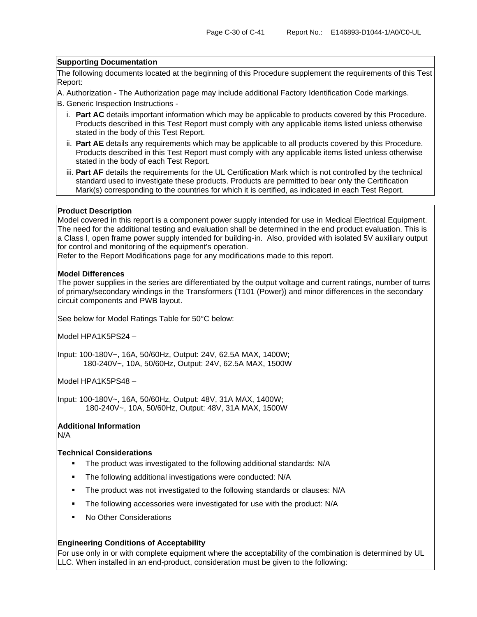#### **Supporting Documentation**

The following documents located at the beginning of this Procedure supplement the requirements of this Test Report:

A. Authorization - The Authorization page may include additional Factory Identification Code markings.

B. Generic Inspection Instructions -

- i. **Part AC** details important information which may be applicable to products covered by this Procedure. Products described in this Test Report must comply with any applicable items listed unless otherwise stated in the body of this Test Report.
- ii. **Part AE** details any requirements which may be applicable to all products covered by this Procedure. Products described in this Test Report must comply with any applicable items listed unless otherwise stated in the body of each Test Report.
- iii. **Part AF** details the requirements for the UL Certification Mark which is not controlled by the technical standard used to investigate these products. Products are permitted to bear only the Certification Mark(s) corresponding to the countries for which it is certified, as indicated in each Test Report.

#### **Product Description**

Model covered in this report is a component power supply intended for use in Medical Electrical Equipment. The need for the additional testing and evaluation shall be determined in the end product evaluation. This is a Class I, open frame power supply intended for building-in. Also, provided with isolated 5V auxiliary output for control and monitoring of the equipment's operation.

Refer to the Report Modifications page for any modifications made to this report.

#### **Model Differences**

The power supplies in the series are differentiated by the output voltage and current ratings, number of turns of primary/secondary windings in the Transformers (T101 (Power)) and minor differences in the secondary circuit components and PWB layout.

See below for Model Ratings Table for 50°C below:

Model HPA1K5PS24 –

Input: 100-180V~, 16A, 50/60Hz, Output: 24V, 62.5A MAX, 1400W; 180-240V~, 10A, 50/60Hz, Output: 24V, 62.5A MAX, 1500W

Model HPA1K5PS48 –

Input: 100-180V~, 16A, 50/60Hz, Output: 48V, 31A MAX, 1400W; 180-240V~, 10A, 50/60Hz, Output: 48V, 31A MAX, 1500W

## **Additional Information**

N/A

#### **Technical Considerations**

- The product was investigated to the following additional standards: N/A
- **EXECT** The following additional investigations were conducted: N/A
- The product was not investigated to the following standards or clauses: N/A
- The following accessories were investigated for use with the product: N/A
- No Other Considerations

## **Engineering Conditions of Acceptability**

For use only in or with complete equipment where the acceptability of the combination is determined by UL LLC. When installed in an end-product, consideration must be given to the following: